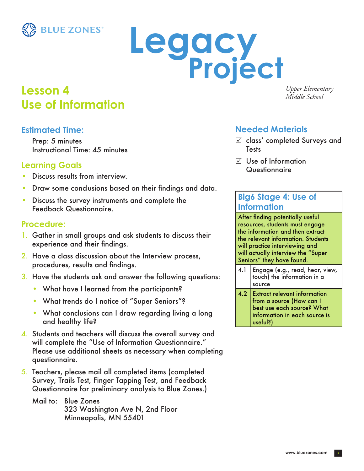

# Legacy<br>Project

# **Lesson 4** *Upper Elemen Middle School* **Use of Information**

**Estimated Time:** 

Prep: 5 minutes Instructional Time: 45 minutes

### **Learning Goals**

- Discuss results from interview.
- Draw some conclusions based on their findings and data.
- Discuss the survey instruments and complete the Feedback Questionnaire.

### **Procedure:**

- 1. Gather in small groups and ask students to discuss their experience and their findings.
- 2. Have a class discussion about the Interview process, procedures, results and findings.
- 3. Have the students ask and answer the following questions:
	- What have I learned from the participants?
	- What trends do I notice of "Super Seniors"?
	- What conclusions can I draw regarding living a long and healthy life?
- 4. Students and teachers will discuss the overall survey and will complete the "Use of Information Questionnaire." Please use additional sheets as necessary when completing questionnaire.
- 5. Teachers, please mail all completed items (completed Survey, Trails Test, Finger Tapping Test, and Feedback Questionnaire for preliminary analysis to Blue Zones.)

Mail to: Blue Zones 323 Washington Ave N, 2nd Floor Minneapolis, MN 55401

*Upper Elementary*

### **Needed Materials**

- $\boxtimes$  class' completed Surveys and **Tests**
- $\nabla$  Use of Information **Questionnaire**

### **Big6 Stage 4: Use of Information**

After finding potentially useful resources, students must engage the information and then extract the relevant information. Students will practice interviewing and will actually interview the "Super Seniors" they have found.

- 4.1 Engage (e.g., read, hear, view, touch) the information in a source
- 4.2 Extract relevant information from a source (How can I best use each source? What information in each source is useful?)